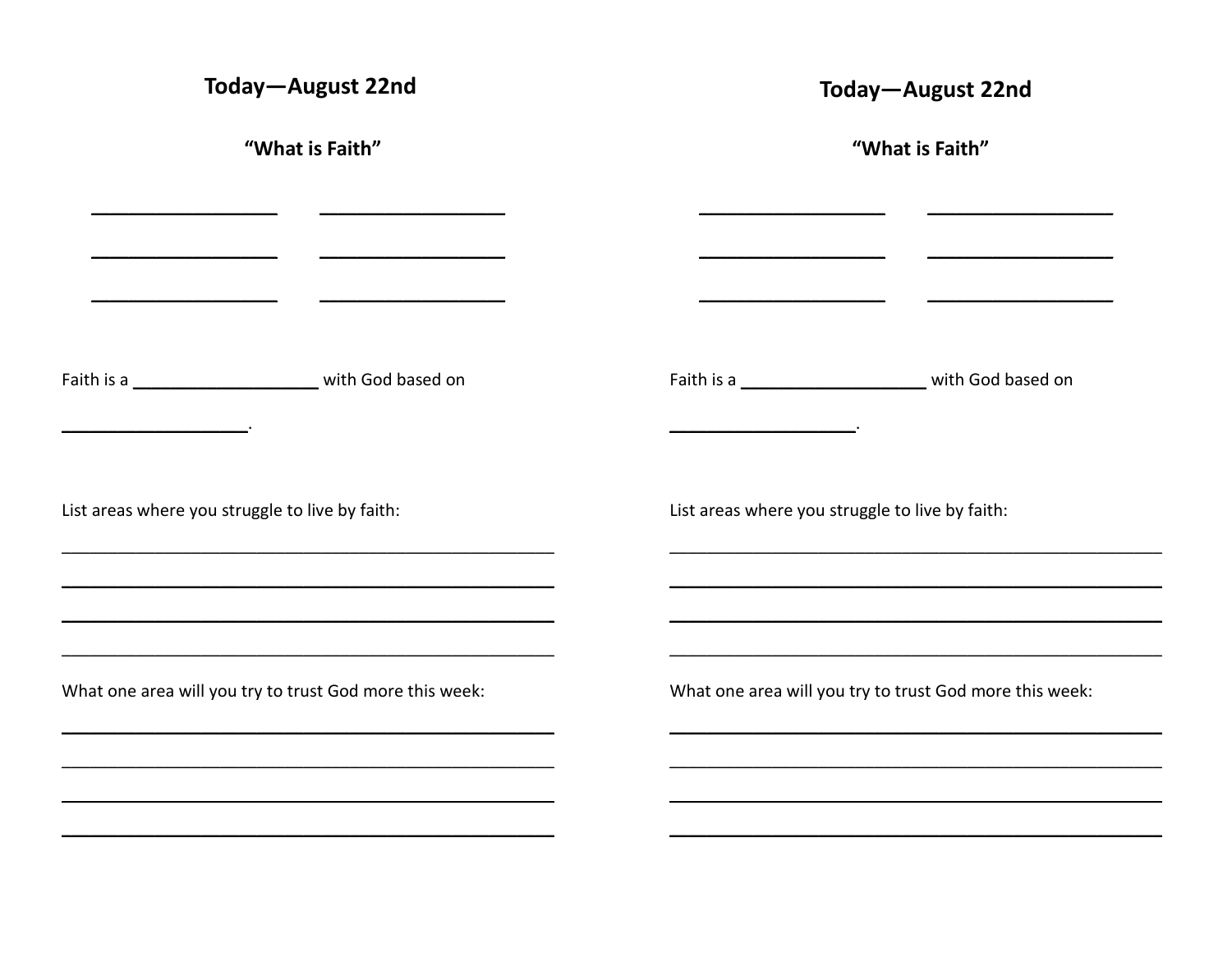| "What is Faith"                                                                                                                                                                                                                                                                                                                                        |
|--------------------------------------------------------------------------------------------------------------------------------------------------------------------------------------------------------------------------------------------------------------------------------------------------------------------------------------------------------|
|                                                                                                                                                                                                                                                                                                                                                        |
| <u> 1989 - Johann Barnett, fransk politiker (d. 1989)</u><br>the contract of the contract of the contract of the contract of the contract of the contract of the contract of<br>and the contract of the contract of the contract of the contract of the contract of<br>the contract of the contract of the contract of the contract of the contract of |
|                                                                                                                                                                                                                                                                                                                                                        |
| List areas where you struggle to live by faith:                                                                                                                                                                                                                                                                                                        |
| What one area will you try to trust God more this week:                                                                                                                                                                                                                                                                                                |
|                                                                                                                                                                                                                                                                                                                                                        |
|                                                                                                                                                                                                                                                                                                                                                        |